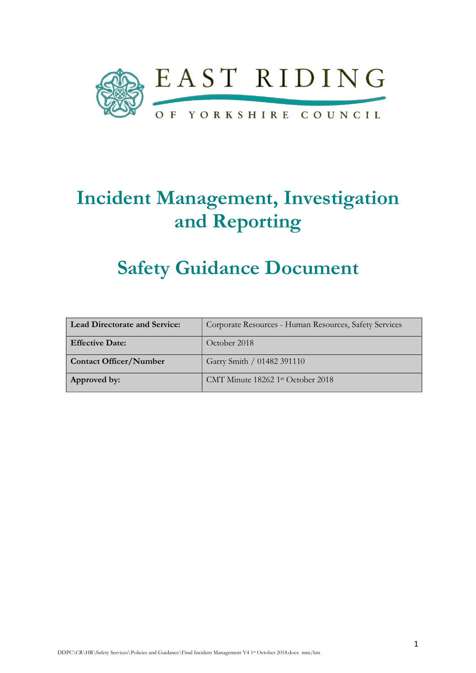

# Incident Management, Investigation and Reporting

# Safety Guidance Document

| <b>Lead Directorate and Service:</b> | Corporate Resources - Human Resources, Safety Services |
|--------------------------------------|--------------------------------------------------------|
| <b>Effective Date:</b>               | October 2018                                           |
| <b>Contact Officer/Number</b>        | Garry Smith / 01482 391110                             |
| Approved by:                         | CMT Minute 18262 1st October 2018                      |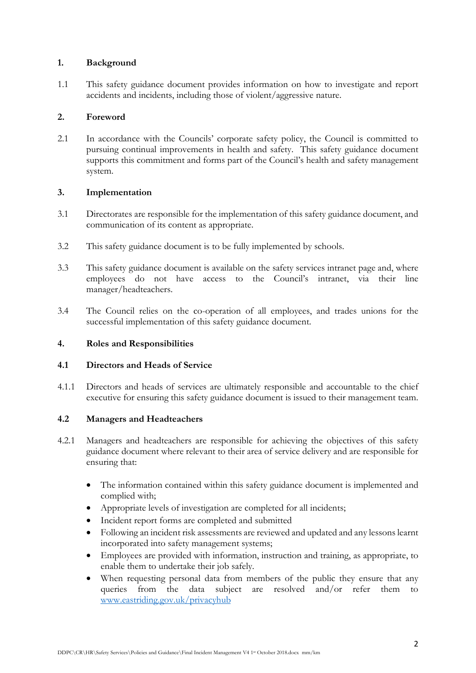### 1. Background

1.1 This safety guidance document provides information on how to investigate and report accidents and incidents, including those of violent/aggressive nature.

### 2. Foreword

2.1 In accordance with the Councils' corporate safety policy, the Council is committed to pursuing continual improvements in health and safety. This safety guidance document supports this commitment and forms part of the Council's health and safety management system.

#### 3. Implementation

- 3.1 Directorates are responsible for the implementation of this safety guidance document, and communication of its content as appropriate.
- 3.2 This safety guidance document is to be fully implemented by schools.
- 3.3 This safety guidance document is available on the safety services intranet page and, where employees do not have access to the Council's intranet, via their line manager/headteachers.
- 3.4 The Council relies on the co-operation of all employees, and trades unions for the successful implementation of this safety guidance document.

### 4. Roles and Responsibilities

### 4.1 Directors and Heads of Service

4.1.1 Directors and heads of services are ultimately responsible and accountable to the chief executive for ensuring this safety guidance document is issued to their management team.

## 4.2 Managers and Headteachers

- 4.2.1 Managers and headteachers are responsible for achieving the objectives of this safety guidance document where relevant to their area of service delivery and are responsible for ensuring that:
	- The information contained within this safety guidance document is implemented and complied with;
	- Appropriate levels of investigation are completed for all incidents;
	- Incident report forms are completed and submitted
	- Following an incident risk assessments are reviewed and updated and any lessons learnt incorporated into safety management systems;
	- Employees are provided with information, instruction and training, as appropriate, to enable them to undertake their job safely.
	- When requesting personal data from members of the public they ensure that any queries from the data subject are resolved and/or refer them to www.eastriding.gov.uk/privacyhub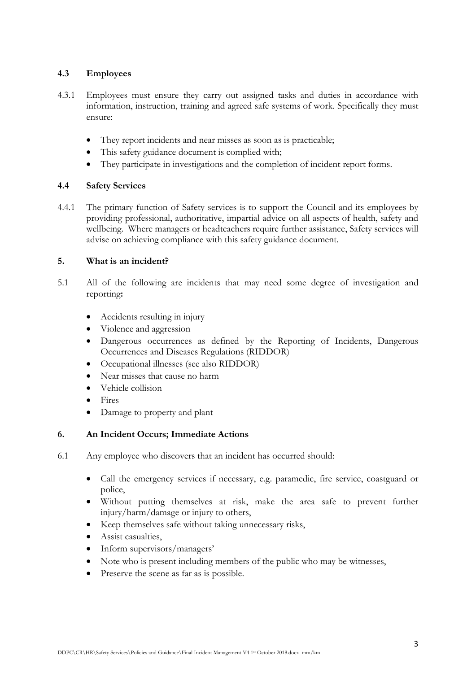## 4.3 Employees

- 4.3.1 Employees must ensure they carry out assigned tasks and duties in accordance with information, instruction, training and agreed safe systems of work. Specifically they must ensure:
	- They report incidents and near misses as soon as is practicable;
	- This safety guidance document is complied with;
	- They participate in investigations and the completion of incident report forms.

### 4.4 Safety Services

4.4.1 The primary function of Safety services is to support the Council and its employees by providing professional, authoritative, impartial advice on all aspects of health, safety and wellbeing. Where managers or headteachers require further assistance, Safety services will advise on achieving compliance with this safety guidance document.

### 5. What is an incident?

- 5.1 All of the following are incidents that may need some degree of investigation and reporting:
	- Accidents resulting in injury
	- Violence and aggression
	- Dangerous occurrences as defined by the Reporting of Incidents, Dangerous Occurrences and Diseases Regulations (RIDDOR)
	- Occupational illnesses (see also RIDDOR)
	- Near misses that cause no harm
	- Vehicle collision
	- Fires
	- Damage to property and plant

### 6. An Incident Occurs; Immediate Actions

- 6.1 Any employee who discovers that an incident has occurred should:
	- Call the emergency services if necessary, e.g. paramedic, fire service, coastguard or police,
	- Without putting themselves at risk, make the area safe to prevent further injury/harm/damage or injury to others,
	- Keep themselves safe without taking unnecessary risks,
	- Assist casualties,
	- Inform supervisors/managers'
	- Note who is present including members of the public who may be witnesses,
	- Preserve the scene as far as is possible.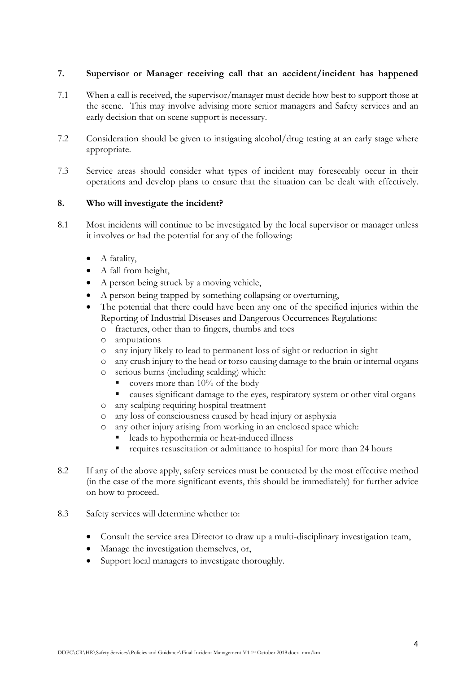## 7. Supervisor or Manager receiving call that an accident/incident has happened

- 7.1 When a call is received, the supervisor/manager must decide how best to support those at the scene. This may involve advising more senior managers and Safety services and an early decision that on scene support is necessary.
- 7.2 Consideration should be given to instigating alcohol/drug testing at an early stage where appropriate.
- 7.3 Service areas should consider what types of incident may foreseeably occur in their operations and develop plans to ensure that the situation can be dealt with effectively.

### 8. Who will investigate the incident?

- 8.1 Most incidents will continue to be investigated by the local supervisor or manager unless it involves or had the potential for any of the following:
	- A fatality,
	- A fall from height,
	- A person being struck by a moving vehicle,
	- A person being trapped by something collapsing or overturning,
	- The potential that there could have been any one of the specified injuries within the Reporting of Industrial Diseases and Dangerous Occurrences Regulations:
		- o fractures, other than to fingers, thumbs and toes
		- o amputations
		- o any injury likely to lead to permanent loss of sight or reduction in sight
		- o any crush injury to the head or torso causing damage to the brain or internal organs
		- o serious burns (including scalding) which:
			- covers more than  $10\%$  of the body
			- causes significant damage to the eyes, respiratory system or other vital organs
		- o any scalping requiring hospital treatment
		- o any loss of consciousness caused by head injury or asphyxia
		- o any other injury arising from working in an enclosed space which:
			- leads to hypothermia or heat-induced illness
			- requires resuscitation or admittance to hospital for more than 24 hours
- 8.2 If any of the above apply, safety services must be contacted by the most effective method (in the case of the more significant events, this should be immediately) for further advice on how to proceed.
- 8.3 Safety services will determine whether to:
	- Consult the service area Director to draw up a multi-disciplinary investigation team,
	- Manage the investigation themselves, or,
	- Support local managers to investigate thoroughly.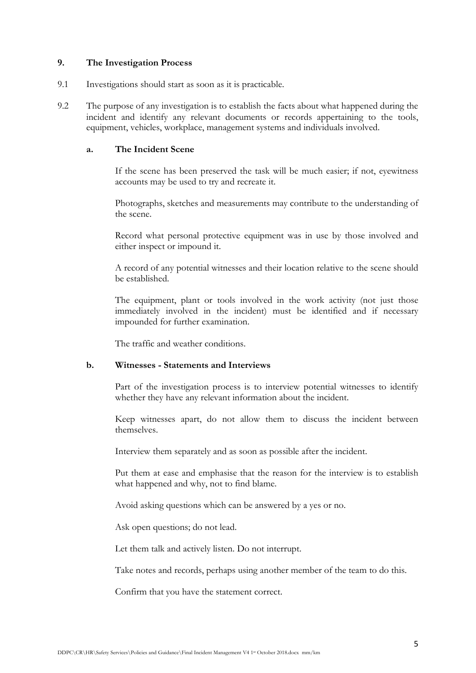#### 9. The Investigation Process

- 9.1 Investigations should start as soon as it is practicable.
- 9.2 The purpose of any investigation is to establish the facts about what happened during the incident and identify any relevant documents or records appertaining to the tools, equipment, vehicles, workplace, management systems and individuals involved.

#### a. The Incident Scene

If the scene has been preserved the task will be much easier; if not, eyewitness accounts may be used to try and recreate it.

Photographs, sketches and measurements may contribute to the understanding of the scene.

Record what personal protective equipment was in use by those involved and either inspect or impound it.

A record of any potential witnesses and their location relative to the scene should be established.

The equipment, plant or tools involved in the work activity (not just those immediately involved in the incident) must be identified and if necessary impounded for further examination.

The traffic and weather conditions.

#### b. Witnesses - Statements and Interviews

Part of the investigation process is to interview potential witnesses to identify whether they have any relevant information about the incident.

Keep witnesses apart, do not allow them to discuss the incident between themselves.

Interview them separately and as soon as possible after the incident.

Put them at ease and emphasise that the reason for the interview is to establish what happened and why, not to find blame.

Avoid asking questions which can be answered by a yes or no.

Ask open questions; do not lead.

Let them talk and actively listen. Do not interrupt.

Take notes and records, perhaps using another member of the team to do this.

Confirm that you have the statement correct.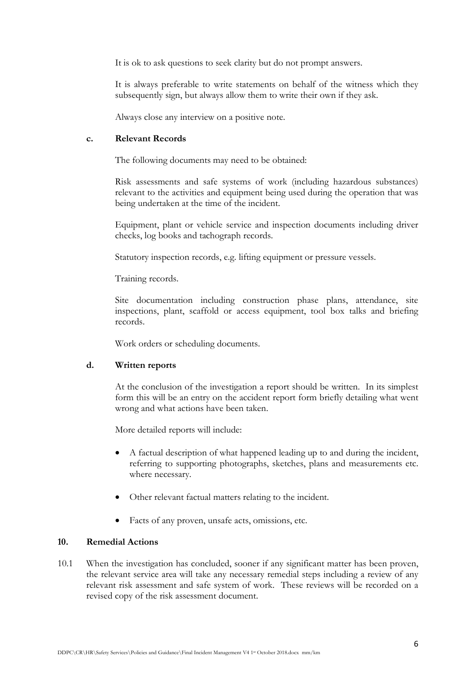It is ok to ask questions to seek clarity but do not prompt answers.

It is always preferable to write statements on behalf of the witness which they subsequently sign, but always allow them to write their own if they ask.

Always close any interview on a positive note.

#### c. Relevant Records

The following documents may need to be obtained:

Risk assessments and safe systems of work (including hazardous substances) relevant to the activities and equipment being used during the operation that was being undertaken at the time of the incident.

Equipment, plant or vehicle service and inspection documents including driver checks, log books and tachograph records.

Statutory inspection records, e.g. lifting equipment or pressure vessels.

Training records.

Site documentation including construction phase plans, attendance, site inspections, plant, scaffold or access equipment, tool box talks and briefing records.

Work orders or scheduling documents.

### d. Written reports

At the conclusion of the investigation a report should be written. In its simplest form this will be an entry on the accident report form briefly detailing what went wrong and what actions have been taken.

More detailed reports will include:

- A factual description of what happened leading up to and during the incident, referring to supporting photographs, sketches, plans and measurements etc. where necessary.
- Other relevant factual matters relating to the incident.
- Facts of any proven, unsafe acts, omissions, etc.

### 10. Remedial Actions

10.1 When the investigation has concluded, sooner if any significant matter has been proven, the relevant service area will take any necessary remedial steps including a review of any relevant risk assessment and safe system of work. These reviews will be recorded on a revised copy of the risk assessment document.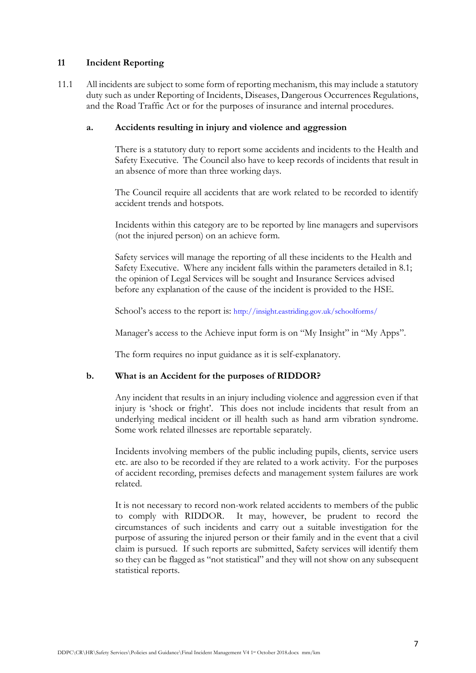#### 11 Incident Reporting

11.1 All incidents are subject to some form of reporting mechanism, this may include a statutory duty such as under Reporting of Incidents, Diseases, Dangerous Occurrences Regulations, and the Road Traffic Act or for the purposes of insurance and internal procedures.

#### a. Accidents resulting in injury and violence and aggression

There is a statutory duty to report some accidents and incidents to the Health and Safety Executive. The Council also have to keep records of incidents that result in an absence of more than three working days.

The Council require all accidents that are work related to be recorded to identify accident trends and hotspots.

Incidents within this category are to be reported by line managers and supervisors (not the injured person) on an achieve form.

Safety services will manage the reporting of all these incidents to the Health and Safety Executive. Where any incident falls within the parameters detailed in 8.1; the opinion of Legal Services will be sought and Insurance Services advised before any explanation of the cause of the incident is provided to the HSE.

School's access to the report is: http://insight.eastriding.gov.uk/schoolforms/

Manager's access to the Achieve input form is on "My Insight" in "My Apps".

The form requires no input guidance as it is self-explanatory.

### b. What is an Accident for the purposes of RIDDOR?

Any incident that results in an injury including violence and aggression even if that injury is 'shock or fright'. This does not include incidents that result from an underlying medical incident or ill health such as hand arm vibration syndrome. Some work related illnesses are reportable separately.

Incidents involving members of the public including pupils, clients, service users etc. are also to be recorded if they are related to a work activity. For the purposes of accident recording, premises defects and management system failures are work related.

It is not necessary to record non-work related accidents to members of the public to comply with RIDDOR. It may, however, be prudent to record the circumstances of such incidents and carry out a suitable investigation for the purpose of assuring the injured person or their family and in the event that a civil claim is pursued. If such reports are submitted, Safety services will identify them so they can be flagged as "not statistical" and they will not show on any subsequent statistical reports.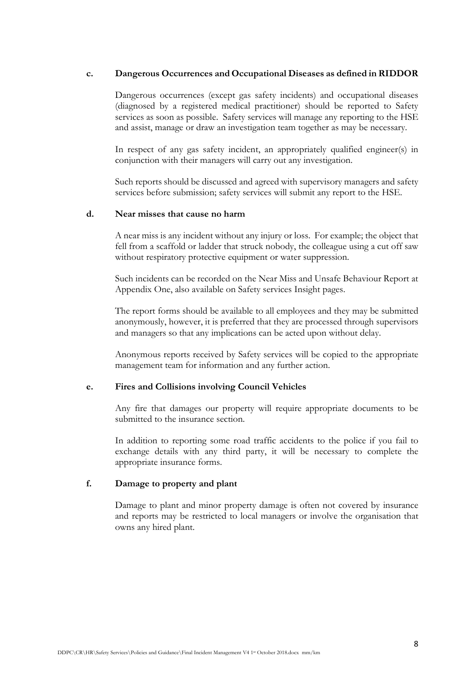#### c. Dangerous Occurrences and Occupational Diseases as defined in RIDDOR

Dangerous occurrences (except gas safety incidents) and occupational diseases (diagnosed by a registered medical practitioner) should be reported to Safety services as soon as possible. Safety services will manage any reporting to the HSE and assist, manage or draw an investigation team together as may be necessary.

In respect of any gas safety incident, an appropriately qualified engineer(s) in conjunction with their managers will carry out any investigation.

Such reports should be discussed and agreed with supervisory managers and safety services before submission; safety services will submit any report to the HSE.

#### d. Near misses that cause no harm

A near miss is any incident without any injury or loss. For example; the object that fell from a scaffold or ladder that struck nobody, the colleague using a cut off saw without respiratory protective equipment or water suppression.

Such incidents can be recorded on the Near Miss and Unsafe Behaviour Report at Appendix One, also available on Safety services Insight pages.

The report forms should be available to all employees and they may be submitted anonymously, however, it is preferred that they are processed through supervisors and managers so that any implications can be acted upon without delay.

Anonymous reports received by Safety services will be copied to the appropriate management team for information and any further action.

#### e. Fires and Collisions involving Council Vehicles

Any fire that damages our property will require appropriate documents to be submitted to the insurance section.

In addition to reporting some road traffic accidents to the police if you fail to exchange details with any third party, it will be necessary to complete the appropriate insurance forms.

#### f. Damage to property and plant

Damage to plant and minor property damage is often not covered by insurance and reports may be restricted to local managers or involve the organisation that owns any hired plant.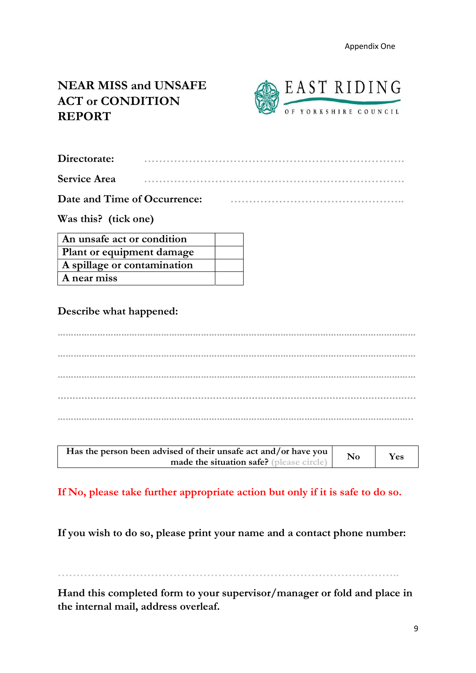# NEAR MISS and UNSAFE ACT or CONDITION REPORT



| Directorate:        |  |
|---------------------|--|
| <b>Service Area</b> |  |

Date and Time of Occurrence: **Example 20** and Time of Occurrence:

Was this? (tick one)

| An unsafe act or condition  |  |
|-----------------------------|--|
| Plant or equipment damage   |  |
| A spillage or contamination |  |
| A near miss                 |  |

Describe what happened:

……………………………………………………………………………………………………………………… ……………………………………………………………………………………………………………………… ……………………………………………………………………………………………………………………… ........................................................................................................................ ……………………………………………………………………………………………………………………..

| Has the person been advised of their unsafe act and/or have you |  | Yes |
|-----------------------------------------------------------------|--|-----|
| made the situation safe? (please circle)                        |  |     |

# If No, please take further appropriate action but only if it is safe to do so.

If you wish to do so, please print your name and a contact phone number:

………………………………………………………………………………..

Hand this completed form to your supervisor/manager or fold and place in the internal mail, address overleaf.